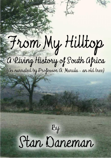# From My Hilltop

a living History of South africa (As narrated by Professor A. Marula - an old tree)

# $By$ Stan Daneman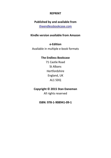#### **REPRINT**

## **Published by and available from**

[theendlessbookcase.com](http://www.theendlessbookcase.com/)

#### **Kindle version available from Amazon**

**e-Edition** Available in multiple e-book formats

#### **The Endless Bookcase**

71 Castle Road St Albans Hertfordshire England, UK AL1 5DQ

#### **Copyright © 2015 Stan Daneman**

All rights reserved

#### **ISBN: 978-1-908941-09-1**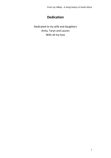*From my Hilltop - A living history of South Africa*

# **Dedication**

<span id="page-2-0"></span>Dedicated to my wife and daughters Anita, Taryn and Lauren With all my love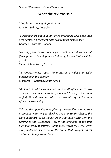<span id="page-3-0"></span>*From my hilltop - A living history of South Africa*

#### **What the reviews said**

"*Simply outstanding. A great read!*" John H , Sydney, Australia

"*I learned more about South Africa by reading your book than ever before. An excellent historical reading experience.*" George C , Toronto, Canada

"*Looking forward to reading your book when it comes out (having had a "sneak preview" already, I know that it will be good)*"

Tannis S, Manitoba , Canada.

"*A compassionate read. The Professor is indeed an Elder Statesman in the country*" Margaret H, Gauteng, South Africa.

"*As someone whose connections with South Africa - up to now at least – have been vicarious, via sport (mostly cricket and rugby), Stan Daneman's e-book on the history of Southern Africa is eye-opening.*

*Told via the appealing metaphor of a personified marula tree ('someone with long established roots in South Africa'), the work concentrates on the history of southern Africa from the coming of the Europeans – or, in the language of the first European (Dutch) settlers, 'Uitlanders'. It was they who, after many millennia, set in motion the events that brought radical and rapid change to the land.*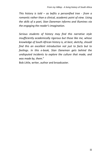*This history is told – as befits a personified tree - from a romantic rather than a clinical, academic point of view. Using the skills of a poet, Stan Daneman informs and illumines via the engaging the reader's imagination.* 

*Serious students of history may find this narrative style insufficiently academically rigorous but those like me, whose knowledge of South African history is, at best, sketchy, should find this an excellent introduction not just to facts but to feelings. In this e-book, Stan Daneman gets behind the undisputed incidents to explore the culture that made, and was made by, them*."

Bob Little, writer, author and broadcaster.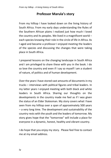# **Professor Marula's story**

<span id="page-5-0"></span>From my hilltop I have looked down on the living history of South Africa. From my early days understanding the Rules of the Southern African plains I realized just how much I loved the country and its peoples. We lived in a magnificent world – each species knowing their role in the circle of life in Africa. As I aged and became a professor I enjoyed meeting the leaders of the species and discussing the changes that were taking place in South Africa.

I prepared lessons on the changing landscape in South Africa and I am privileged to share these with you in the book. I do so love the country and even if I say so myself I am a student of nature, of politics and of human development.

Over the years I have stored vast amounts of documents in my trucks – interviews with political figures and tribal leaders. In my latter years I enjoyed meeting with both black and white leaders in South Africa. Sharing our thoughts on the developments in the country made me feel as if I was given the status of an Elder Statesman. My story covers what I have seen from my hilltop over a span of approximately 500 years – a very long time. The development and sustainability of the country rests with the youth and the leaders of tomorrow. My story gives hope that the "tomorrow" will include a place for everyone in a dynamic, honest, healthy and vibrant country.

I do hope that you enjoy my story. Please feel free to contact me at my email address.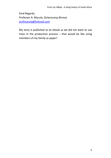Kind Regards, Professor A. Marula, (Sclerocarya Birrea) [profmarula@hotmail.com](mailto:profmarula@hotmail.com) 

My story is published as an ebook as we did not want to use trees in the production process – that would be like using members of my family as paper!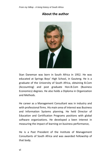### **About the author**

<span id="page-7-0"></span>

Stan Daneman was born in South Africa in 1952. He was educated at Springs Boys' High School, in Gauteng. He is a graduate of the University of South Africa, obtaining B.Com (Accounting) and post graduate Hon.B.Com (Business Economics) degrees. He also holds a Diploma in Organization and Methods.

He career as a Management Consultant was in industry and with professional firms. His main area of interest was Business and Information Systems planning. He held Director of Education and Certification Programs positions with global software organizations. He developed a keen interest in measuring the impact of learning on business performance,

He is a Past President of the Institute of Management Consultants of South Africa and was awarded Fellowship of that body.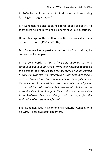In 2009 he published a book "Positioning and measuring learning in an organization".

Mr. Daneman has also published three books of poetry. He takes great delight in reading his poems at various functions.

He was Manager of the South African National Volleyball team on two occasions. (1979 and 1982).

Mr. Daneman has a great compassion for South Africa, its culture and its peoples.

In his own words, "*I had a long-time yearning to write something about South Africa. Why I finally decided to take on the persona of a marula tree for my story of South African history is maybe even a mystery to me. Once I commenced my research I found that I had embarked on a wonderful journey. The objective of the book is not to be a detailed year-by-year account of the historical events in the country but rather to present a view of the changes in the country over time – a view from Professor Marula's hilltop and the hope for the realization of a sustainable future*".

Stan Daneman lives in Richmond Hill, Ontario, Canada, with his wife. He has two adult daughters.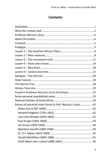# **Contents**

<span id="page-10-0"></span>

| Found in Professor Marula's truck of archives31            |  |
|------------------------------------------------------------|--|
|                                                            |  |
|                                                            |  |
| Extract of personal notes found in Prof. Marula's trucks41 |  |
|                                                            |  |
|                                                            |  |
|                                                            |  |
|                                                            |  |
|                                                            |  |
|                                                            |  |
|                                                            |  |
|                                                            |  |
|                                                            |  |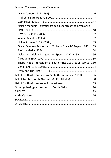| Nelson Mandela - extracts from his speech at the Rivonia trial |  |
|----------------------------------------------------------------|--|
|                                                                |  |
|                                                                |  |
|                                                                |  |
|                                                                |  |
| Oliver Tambo - Response to "Rubicon Speech" August 1985  53    |  |
|                                                                |  |
| Nelson Mandela - Inauguration Speech 10 May 1994 56            |  |
|                                                                |  |
| Thabo Mbeki - (President of South Africa 1999-2008) (1942-) 60 |  |
|                                                                |  |
|                                                                |  |
| List of South African Heads of State (from Union in 1910) 66   |  |
| List of Top Ten South Africans (SABC3 SURVEY)68                |  |
|                                                                |  |
| Other gatherings - the youth of South Africa 70                |  |
|                                                                |  |
|                                                                |  |
|                                                                |  |
|                                                                |  |